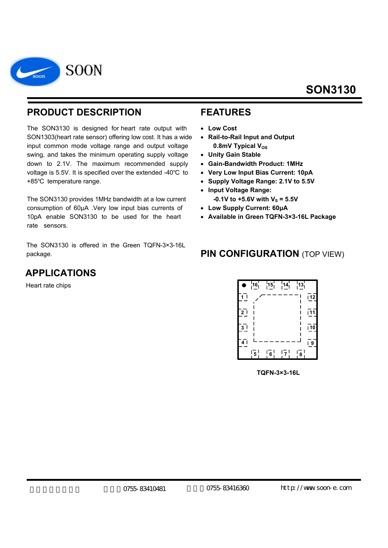

### **PRODUCT DESCRIPTION**

The SON3130 is designed for heart rate output with SON1303(heart rate sensor) offering low cost. It has a wide input common mode voltage range and output voltage swing, and takes the minimum operating supply voltage down to 2.1V. The maximum recommended supply voltage is 5.5V. It is specified over the extended -40℃ to +85℃ temperature range.

The SON3130 provides 1MHz bandwidth at a low current consumption of 60μA .Very low input bias currents of 10pA enable SON3130 to be used for the heart rate sensors.

The SON3130 is offered in the Green TQFN-3×3-16L package.

## **APPLICATIONS**

Heart rate chips

#### **FEATURES**

- **Low Cost**
- **Rail-to-Rail Input and Output**  0.8mV Typical V<sub>os</sub>
- **Unity Gain Stable**
- **Gain-Bandwidth Product: 1MHz**
- **Very Low Input Bias Current: 10pA**
- **Supply Voltage Range: 2.1V to 5.5V**
- **Input Voltage Range:**   $-0.1V$  to  $+5.6V$  with  $V_s = 5.5V$
- **Low Supply Current: 60μA**
- **Available in Green TQFN-3×3-16L Package**

### **PIN CONFIGURATION (TOP VIEW)**



 **TQFN-3×3-16L**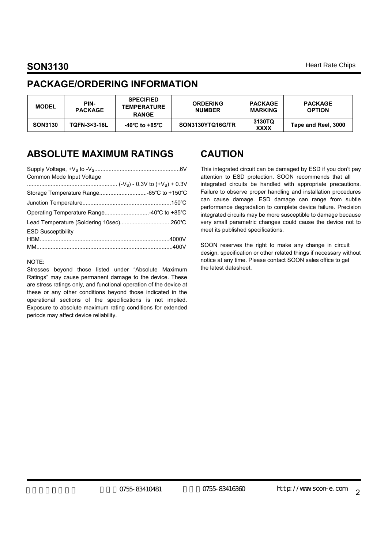### **PACKAGE/ORDERING INFORMATION**

| <b>MODEL</b>   | PIN-<br><b>PACKAGE</b> | <b>SPECIFIED</b><br><b>TEMPERATURE</b><br><b>RANGE</b> | <b>ORDERING</b><br><b>NUMBER</b> | <b>PACKAGE</b><br><b>MARKING</b> | <b>PACKAGE</b><br><b>OPTION</b> |  |
|----------------|------------------------|--------------------------------------------------------|----------------------------------|----------------------------------|---------------------------------|--|
| <b>SON3130</b> | <b>TQFN-3×3-16L</b>    | -40℃ to +85℃                                           | SON3130YTQ16G/TR                 | 3130TQ<br><b>XXXX</b>            | Tape and Reel, 3000             |  |

### **ABSOLUTE MAXIMUM RATINGS**

| Common Mode Input Voltage                 |  |
|-------------------------------------------|--|
|                                           |  |
| Storage Temperature Range -65°C to +150°C |  |
|                                           |  |
| Operating Temperature Range40°C to +85°C  |  |
|                                           |  |
| <b>ESD Susceptibility</b>                 |  |
|                                           |  |
|                                           |  |
|                                           |  |

#### NOTE:

Stresses beyond those listed under "Absolute Maximum Ratings" may cause permanent damage to the device. These are stress ratings only, and functional operation of the device at these or any other conditions beyond those indicated in the operational sections of the specifications is not implied. Exposure to absolute maximum rating conditions for extended periods may affect device reliability.

### **CAUTION**

This integrated circuit can be damaged by ESD if you don't pay attention to ESD protection. SOON recommends that all integrated circuits be handled with appropriate precautions. Failure to observe proper handling and installation procedures can cause damage. ESD damage can range from subtle performance degradation to complete device failure. Precision integrated circuits may be more susceptible to damage because very small parametric changes could cause the device not to meet its published specifications.

SOON reserves the right to make any change in circuit design, specification or other related things if necessary without notice at any time. Please contact SOON sales office to get the latest datasheet.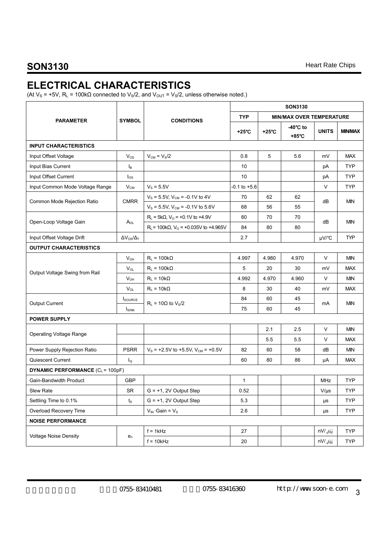# **ELECTRICAL CHARACTERISTICS**

(At  $V_S$  = +5V, R<sub>L</sub> = 100k $\Omega$  connected to V<sub>S</sub>/2, and V<sub>OUT</sub> = V<sub>S</sub>/2, unless otherwise noted.)

|                                         |                           |                                                             | <b>SON3130</b>   |                 |                   |                                 |                |  |
|-----------------------------------------|---------------------------|-------------------------------------------------------------|------------------|-----------------|-------------------|---------------------------------|----------------|--|
| <b>PARAMETER</b>                        | <b>SYMBOL</b>             | <b>CONDITIONS</b>                                           | <b>TYP</b>       |                 |                   | <b>MIN/MAX OVER TEMPERATURE</b> |                |  |
|                                         |                           |                                                             | +25°C            | $+25^{\circ}$ C | -40°C to<br>+85°C | <b>UNITS</b>                    | <b>MIN/MAX</b> |  |
| <b>INPUT CHARACTERISTICS</b>            |                           |                                                             |                  |                 |                   |                                 |                |  |
| Input Offset Voltage                    | $V_{OS}$                  | $V_{\text{CM}} = V_{\text{S}}/2$                            | 0.8              | 5               | 5.6               | mV                              | <b>MAX</b>     |  |
| Input Bias Current                      | $I_{\mathsf{B}}$          |                                                             | 10               |                 |                   | pA                              | <b>TYP</b>     |  |
| Input Offset Current                    | $I_{OS}$                  |                                                             | 10               |                 |                   | pA                              | <b>TYP</b>     |  |
| Input Common Mode Voltage Range         | $V_{CM}$                  | $V_{\rm S} = 5.5V$                                          | $-0.1$ to $+5.6$ |                 |                   | V                               | <b>TYP</b>     |  |
| Common Mode Rejection Ratio             | <b>CMRR</b>               | $V_S = 5.5V$ , $V_{CM} = -0.1V$ to 4V                       | 70               | 62              | 62                |                                 | <b>MIN</b>     |  |
|                                         |                           | $V_s = 5.5V$ , $V_{CM} = -0.1V$ to 5.6V                     | 68               | dB<br>56<br>55  |                   |                                 |                |  |
| Open-Loop Voltage Gain                  | $A_{OL}$                  | $R_L$ = 5k $\Omega$ , $V_O$ = +0.1V to +4.9V                | 80               | 70              | 70                | dB                              |                |  |
|                                         |                           | $R_L$ = 100k $\Omega$ , V <sub>o</sub> = +0.035V to +4.965V | 84               | 80              | 80                |                                 | <b>MIN</b>     |  |
| Input Offset Voltage Drift              | $\Delta V_{OS}/\Delta_T$  |                                                             | 2.7              |                 |                   | µV/°C                           | <b>TYP</b>     |  |
| <b>OUTPUT CHARACTERISTICS</b>           |                           |                                                             |                  |                 |                   |                                 |                |  |
|                                         | $V_{OH}$                  | $R_L = 100k\Omega$                                          | 4.997            | 4.980           | 4.970             | V                               | <b>MIN</b>     |  |
| Output Voltage Swing from Rail          | $V_{OL}$                  | $R_L = 100k\Omega$                                          | 5                | 20              | 30                | mV                              | <b>MAX</b>     |  |
|                                         | $V_{OH}$                  | $R_L = 10k\Omega$                                           | 4.992            | 4.970           | 4.960             | V                               | <b>MIN</b>     |  |
|                                         | $V_{OL}$                  | $R_L = 10k\Omega$                                           | 8                | 30              | 40                | mV                              | <b>MAX</b>     |  |
| Output Current                          | <b>I</b> SOURCE           | $R_L$ = 10 $\Omega$ to $V_S/2$                              | 84               | 60              | 45                | mA                              | <b>MIN</b>     |  |
|                                         | $I_{SINK}$                |                                                             | 75               | 60              | 45                |                                 |                |  |
| <b>POWER SUPPLY</b>                     |                           |                                                             |                  |                 |                   |                                 |                |  |
| <b>Operating Voltage Range</b>          |                           |                                                             |                  | 2.1             | 2.5               | V                               | <b>MIN</b>     |  |
|                                         |                           |                                                             |                  | 5.5             | 5.5               | V                               | <b>MAX</b>     |  |
| Power Supply Rejection Ratio            | <b>PSRR</b>               | $V_s$ = +2.5V to +5.5V, $V_{CM}$ = +0.5V                    | 82               | 60              | 58                | dB                              | <b>MIN</b>     |  |
| Quiescent Current                       | lo                        |                                                             | 60               | 80              | 86                | μA                              | <b>MAX</b>     |  |
| <b>DYNAMIC PERFORMANCE (CL = 100pF)</b> |                           |                                                             |                  |                 |                   |                                 |                |  |
| Gain-Bandwidth Product                  | <b>GBP</b>                |                                                             | 1                |                 |                   | <b>MHz</b>                      | <b>TYP</b>     |  |
| Slew Rate                               | SR                        | $G = +1$ , 2V Output Step                                   | 0.52             |                 |                   | $V/\mu s$                       | <b>TYP</b>     |  |
| Settling Time to 0.1%                   | $t_{\rm S}$               | $G = +1$ , 2V Output Step                                   | 5.3              |                 |                   | μs                              | <b>TYP</b>     |  |
| Overload Recovery Time                  |                           | $V_{IN}$ Gain = $V_S$                                       | 2.6              |                 |                   | μs                              | <b>TYP</b>     |  |
| <b>NOISE PERFORMANCE</b>                |                           |                                                             |                  |                 |                   |                                 |                |  |
| <b>Voltage Noise Density</b>            |                           | $f = 1kHz$                                                  | 27               |                 |                   | $nV/\sqrt{Hz}$                  | <b>TYP</b>     |  |
|                                         | $\mathsf{e}_{\mathsf{n}}$ | $f = 10kHz$                                                 | 20               |                 |                   | $nV/\sqrt{Hz}$                  | <b>TYP</b>     |  |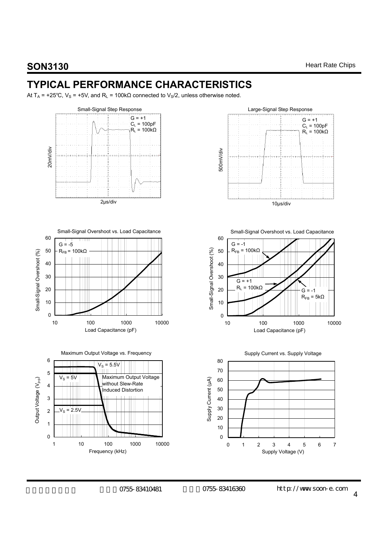## **TYPICAL PERFORMANCE CHARACTERISTICS**

At T<sub>A</sub> = +25°C, V<sub>S</sub> = +5V, and R<sub>L</sub> = 100k $\Omega$  connected to V<sub>S</sub>/2, unless otherwise noted.

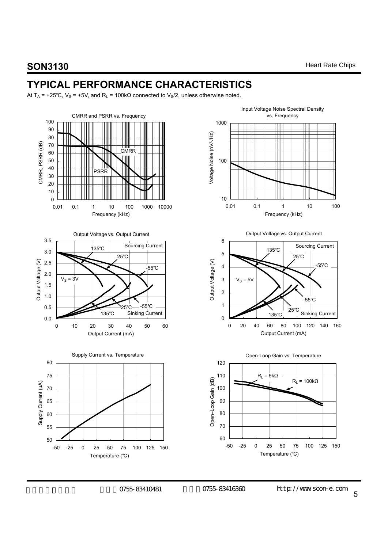## **TYPICAL PERFORMANCE CHARACTERISTICS**

At T<sub>A</sub> = +25°C, V<sub>S</sub> = +5V, and R<sub>L</sub> = 100k $\Omega$  connected to V<sub>S</sub>/2, unless otherwise noted.

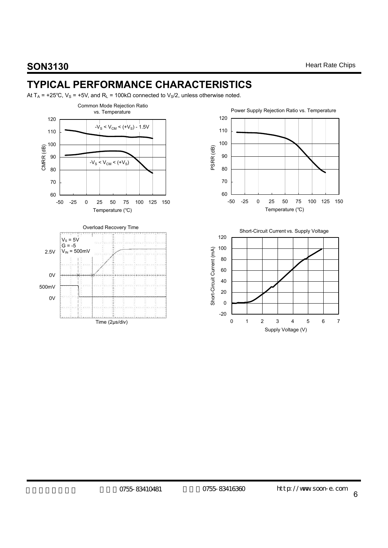# **TYPICAL PERFORMANCE CHARACTERISTICS**

At T<sub>A</sub> = +25°C, V<sub>S</sub> = +5V, and R<sub>L</sub> = 100k $\Omega$  connected to V<sub>S</sub>/2, unless otherwise noted.





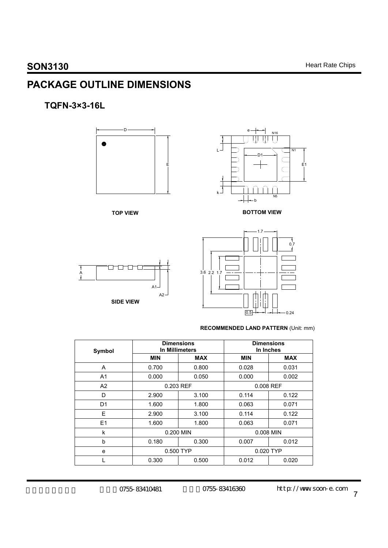# **PACKAGE OUTLINE DIMENSIONS**

### **TQFN-3×3-16L**





#### **RECOMMENDED LAND PATTERN** (Unit: mm)

 $\overline{)0.5}$  -  $0.24$ 

| Symbol         |                | <b>Dimensions</b><br>In Millimeters | <b>Dimensions</b><br>In Inches |            |  |
|----------------|----------------|-------------------------------------|--------------------------------|------------|--|
|                | <b>MIN</b>     | <b>MAX</b>                          | <b>MIN</b>                     | <b>MAX</b> |  |
| A              | 0.700          | 0.800                               | 0.028                          | 0.031      |  |
| A <sub>1</sub> | 0.000<br>0.050 |                                     | 0.000                          | 0.002      |  |
| A2             | 0.203 REF      |                                     | 0.008 REF                      |            |  |
| D              | 2.900          | 3.100                               | 0.114                          | 0.122      |  |
| D <sub>1</sub> | 1.600          | 1.800                               | 0.063                          | 0.071      |  |
| Е              | 2.900          | 3.100                               | 0.114                          | 0.122      |  |
| E1             | 1.600          | 1.800                               | 0.063                          | 0.071      |  |
| k              | 0.200 MIN      |                                     | 0.008 MIN                      |            |  |
| b              | 0.180          | 0.300                               | 0.007                          | 0.012      |  |
| e              | 0.500 TYP      |                                     |                                | 0.020 TYP  |  |
|                | 0.300          | 0.500                               | 0.012                          | 0.020      |  |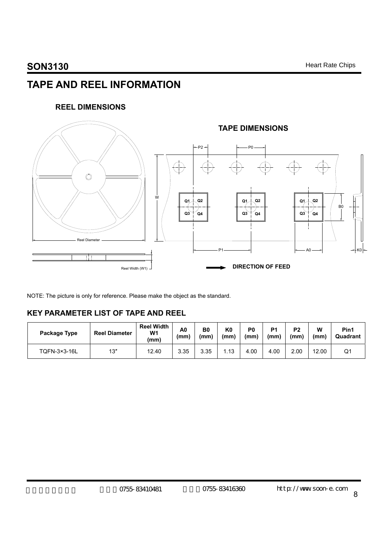# **TAPE AND REEL INFORMATION**

#### **REEL DIMENSIONS**



NOTE: The picture is only for reference. Please make the object as the standard.

#### **KEY PARAMETER LIST OF TAPE AND REEL**

| Package Type | <b>Reel Diameter</b> | <b>Reel Width</b><br>W1<br>(mm) | A0<br>(mm) | B <sub>0</sub><br>(mm) | K0<br>(mm) | P <sub>0</sub><br>(mm) | P <sub>1</sub><br>(mm) | P <sub>2</sub><br>(mm) | W<br>(mm) | Pin1<br>Quadrant |
|--------------|----------------------|---------------------------------|------------|------------------------|------------|------------------------|------------------------|------------------------|-----------|------------------|
| TQFN-3×3-16L | 13″                  | 12.40                           | 3.35       | 3.35                   | ∟.13       | 4.00                   | 4.00                   | 2.00                   | 12.00     | Q٬               |